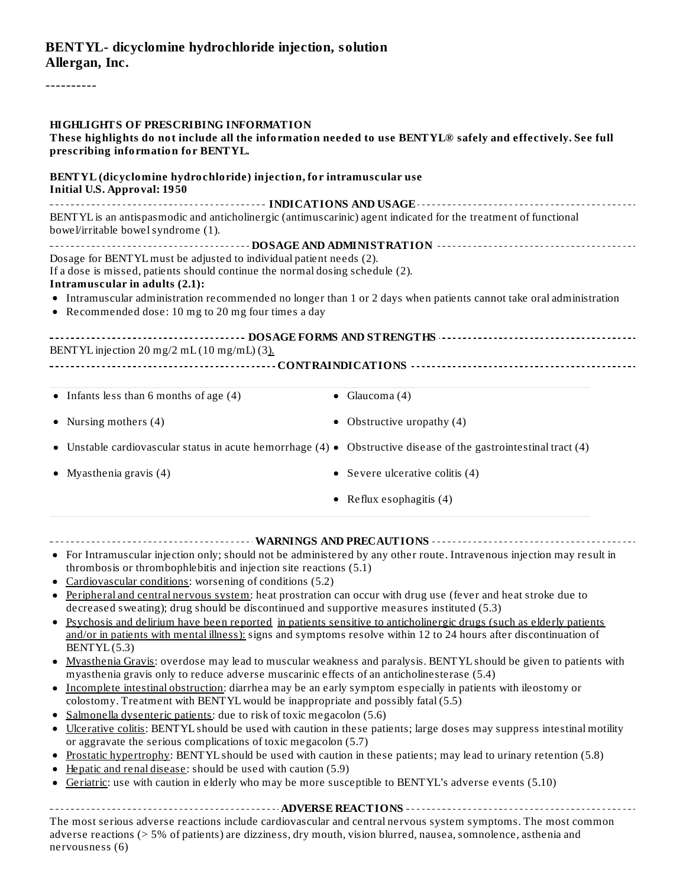### **BENTYL- dicyclomine hydrochloride injection, solution Allergan, Inc.**

----------

| <b>HIGHLIGHTS OF PRESCRIBING INFORMATION</b><br>These highlights do not include all the information needed to use BENTYL® safely and effectively. See full<br>prescribing information for BENTYL. |                                                                                                                        |  |  |  |  |  |  |
|---------------------------------------------------------------------------------------------------------------------------------------------------------------------------------------------------|------------------------------------------------------------------------------------------------------------------------|--|--|--|--|--|--|
| BENTYL (dicyclomine hydrochloride) injection, for intramuscular use<br><b>Initial U.S. Approval: 1950</b>                                                                                         |                                                                                                                        |  |  |  |  |  |  |
|                                                                                                                                                                                                   |                                                                                                                        |  |  |  |  |  |  |
| BENTYL is an antispasmodic and anticholinergic (antimuscarinic) agent indicated for the treatment of functional<br>bowel/irritable bowel syndrome (1).                                            |                                                                                                                        |  |  |  |  |  |  |
|                                                                                                                                                                                                   |                                                                                                                        |  |  |  |  |  |  |
| Dosage for BENTYL must be adjusted to individual patient needs (2).                                                                                                                               |                                                                                                                        |  |  |  |  |  |  |
| If a dose is missed, patients should continue the normal dosing schedule (2).<br>Intramuscular in adults (2.1):                                                                                   |                                                                                                                        |  |  |  |  |  |  |
|                                                                                                                                                                                                   | • Intramuscular administration recommended no longer than 1 or 2 days when patients cannot take oral administration    |  |  |  |  |  |  |
| • Recommended dose: 10 mg to 20 mg four times a day                                                                                                                                               |                                                                                                                        |  |  |  |  |  |  |
|                                                                                                                                                                                                   |                                                                                                                        |  |  |  |  |  |  |
| BENTYL injection 20 mg/2 mL (10 mg/mL) (3).                                                                                                                                                       |                                                                                                                        |  |  |  |  |  |  |
|                                                                                                                                                                                                   |                                                                                                                        |  |  |  |  |  |  |
| $\bullet$ Infants less than 6 months of age (4)                                                                                                                                                   | $\bullet$ Glaucoma (4)                                                                                                 |  |  |  |  |  |  |
|                                                                                                                                                                                                   |                                                                                                                        |  |  |  |  |  |  |
| • Nursing mothers (4)                                                                                                                                                                             | • Obstructive uropathy $(4)$                                                                                           |  |  |  |  |  |  |
|                                                                                                                                                                                                   | • Unstable cardiovascular status in acute hemorrhage (4) • Obstructive disease of the gastrointestinal tract (4)       |  |  |  |  |  |  |
| • Myasthenia gravis $(4)$                                                                                                                                                                         | • Severe ulcerative colitis $(4)$                                                                                      |  |  |  |  |  |  |
|                                                                                                                                                                                                   | • Reflux esophagitis $(4)$                                                                                             |  |  |  |  |  |  |
|                                                                                                                                                                                                   |                                                                                                                        |  |  |  |  |  |  |
| thrombosis or thrombophlebitis and injection site reactions (5.1)                                                                                                                                 | • For Intramuscular injection only; should not be administered by any other route. Intravenous injection may result in |  |  |  |  |  |  |
| • Cardiovascular conditions: worsening of conditions (5.2)                                                                                                                                        |                                                                                                                        |  |  |  |  |  |  |
|                                                                                                                                                                                                   | Peripheral and central nervous system: heat prostration can occur with drug use (fever and heat stroke due to          |  |  |  |  |  |  |
| decreased sweating); drug should be discontinued and supportive measures instituted (5.3)                                                                                                         | Psychosis and delirium have been reported in patients sensitive to anticholinergic drugs (such as elderly patients     |  |  |  |  |  |  |
|                                                                                                                                                                                                   | and/or in patients with mental illness): signs and symptoms resolve within 12 to 24 hours after discontinuation of     |  |  |  |  |  |  |
| BENTYL(5.3)                                                                                                                                                                                       |                                                                                                                        |  |  |  |  |  |  |
| myasthenia gravis only to reduce adverse muscarinic effects of an anticholinesterase (5.4)                                                                                                        | • Myasthenia Gravis: overdose may lead to muscular weakness and paralysis. BENTYL should be given to patients with     |  |  |  |  |  |  |
| • Incomplete intestinal obstruction: diarrhea may be an early symptom especially in patients with ileostomy or                                                                                    |                                                                                                                        |  |  |  |  |  |  |
| colostomy. Treatment with BENTYL would be inappropriate and possibly fatal (5.5)                                                                                                                  |                                                                                                                        |  |  |  |  |  |  |
| Salmonella dysenteric patients: due to risk of toxic megacolon (5.6)<br>٠                                                                                                                         |                                                                                                                        |  |  |  |  |  |  |
| ٠<br>or aggravate the serious complications of toxic megacolon (5.7)                                                                                                                              | Ulcerative colitis: BENTYL should be used with caution in these patients; large doses may suppress intestinal motility |  |  |  |  |  |  |
| ٠                                                                                                                                                                                                 | Prostatic hypertrophy: BENTYL should be used with caution in these patients; may lead to urinary retention (5.8)       |  |  |  |  |  |  |
| Hepatic and renal disease: should be used with caution (5.9)<br>٠                                                                                                                                 |                                                                                                                        |  |  |  |  |  |  |
| Geriatric: use with caution in elderly who may be more susceptible to BENTYL's adverse events (5.10)                                                                                              |                                                                                                                        |  |  |  |  |  |  |
|                                                                                                                                                                                                   |                                                                                                                        |  |  |  |  |  |  |
|                                                                                                                                                                                                   | The most serious adverse reactions include cardiovascular and central nervous system symptoms. The most common         |  |  |  |  |  |  |

adverse reactions (> 5% of patients) are dizziness, dry mouth, vision blurred, nausea, somnolence, asthenia and nervousness (6)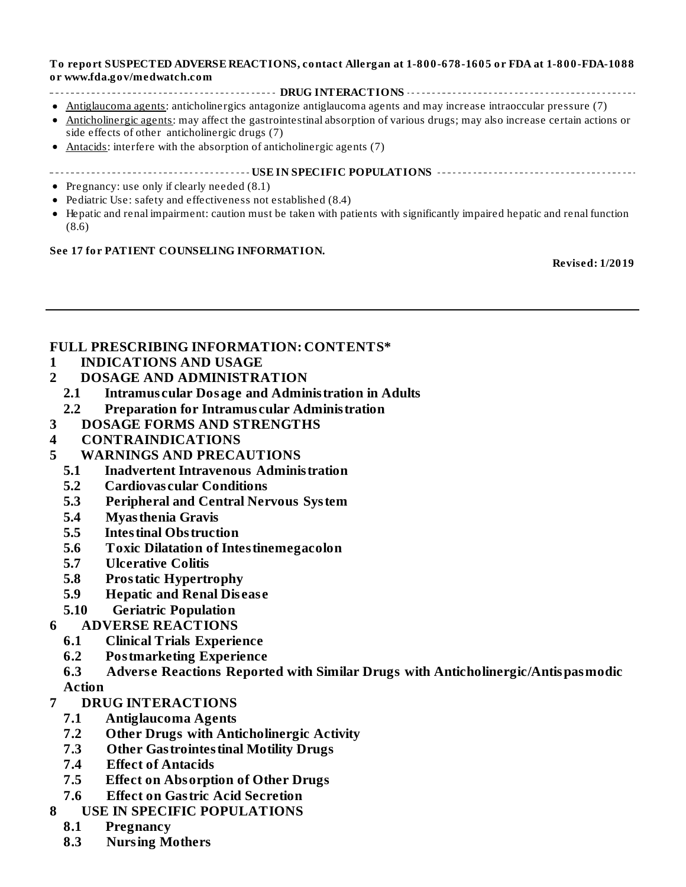#### **To report SUSPECTED ADVERSE REACTIONS, contact Allergan at 1-800-678-1605 or FDA at 1-800-FDA-1088 or www.fda.gov/medwatch.com**

- **DRUG INTERACTIONS**
- Antiglaucoma agents: anticholinergics antagonize antiglaucoma agents and may increase intraoccular pressure (7)
- Anticholinergic agents: may affect the gastrointestinal absorption of various drugs; may also increase certain actions or  $\bullet$ side effects of other anticholinergic drugs (7)
- Antacids: interfere with the absorption of anticholinergic agents (7)
- **USE IN SPECIFIC POPULATIONS**
- Pregnancy: use only if clearly needed  $(8.1)$
- Pediatric Use: safety and effectiveness not established (8.4)
- Hepatic and renal impairment: caution must be taken with patients with significantly impaired hepatic and renal function  $\bullet$ (8.6)

#### **See 17 for PATIENT COUNSELING INFORMATION.**

**Revised: 1/2019**

#### **FULL PRESCRIBING INFORMATION: CONTENTS\***

- **1 INDICATIONS AND USAGE**
- **2 DOSAGE AND ADMINISTRATION**
	- **2.1 Intramus cular Dosage and Administration in Adults**
- **2.2 Preparation for Intramus cular Administration**
- **3 DOSAGE FORMS AND STRENGTHS**
- **4 CONTRAINDICATIONS**
- **5 WARNINGS AND PRECAUTIONS**
	- **5.1 Inadvertent Intravenous Administration**
	- **5.2 Cardiovas cular Conditions**
	- **5.3 Peripheral and Central Nervous System**
	- **5.4 Myasthenia Gravis**
	- **5.5 Intestinal Obstruction**
	- **5.6 Toxic Dilatation of Intestinemegacolon**
	- **5.7 Ulcerative Colitis**
	- **5.8 Prostatic Hypertrophy**
	- **5.9 Hepatic and Renal Dis eas e**
	- **5.10 Geriatric Population**
- **6 ADVERSE REACTIONS**
	- **6.1 Clinical Trials Experience**
	- **6.2 Postmarketing Experience**
	- **6.3 Advers e Reactions Reported with Similar Drugs with Anticholinergic/Antispasmodic Action**
- **7 DRUG INTERACTIONS**
	- **7.1 Antiglaucoma Agents**
	- **7.2 Other Drugs with Anticholinergic Activity**
	- **7.3 Other Gastrointestinal Motility Drugs**
	- **7.4 Effect of Antacids**
	- **7.5 Effect on Absorption of Other Drugs**
	- **7.6 Effect on Gastric Acid Secretion**
- **8 USE IN SPECIFIC POPULATIONS**
	- **8.1 Pregnancy**
	- **8.3 Nursing Mothers**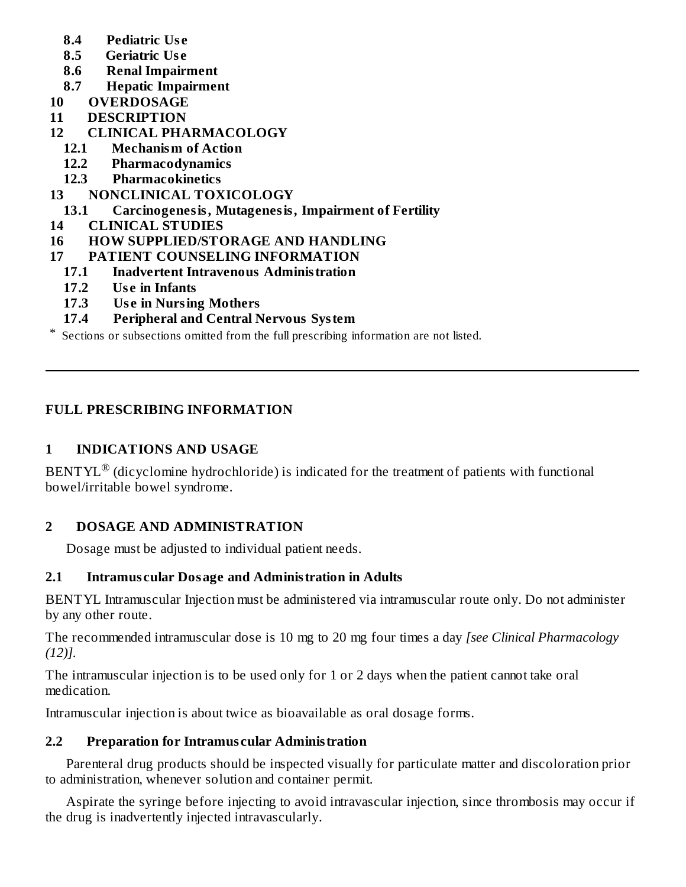- **8.4 Pediatric Us e**
- **8.5 Geriatric Us e**
- **8.6 Renal Impairment**
- **8.7 Hepatic Impairment**
- **10 OVERDOSAGE**
- **11 DESCRIPTION**
- **12 CLINICAL PHARMACOLOGY**
	- **12.1 Mechanism of Action**
	- **12.2 Pharmacodynamics**
	- **12.3 Pharmacokinetics**
- **13 NONCLINICAL TOXICOLOGY**
	- **13.1 Carcinogenesis, Mutagenesis, Impairment of Fertility**
- **14 CLINICAL STUDIES**
- **16 HOW SUPPLIED/STORAGE AND HANDLING**
- **17 PATIENT COUNSELING INFORMATION**
	- **17.1 Inadvertent Intravenous Administration**
	- **17.2 Us e in Infants**
	- **17.3 Us e in Nursing Mothers**
	- **17.4 Peripheral and Central Nervous System**

\* Sections or subsections omitted from the full prescribing information are not listed.

## **FULL PRESCRIBING INFORMATION**

## **1 INDICATIONS AND USAGE**

BENTYL $^{\circledR}$  (dicyclomine hydrochloride) is indicated for the treatment of patients with functional bowel/irritable bowel syndrome.

## **2 DOSAGE AND ADMINISTRATION**

Dosage must be adjusted to individual patient needs.

#### **2.1 Intramus cular Dosage and Administration in Adults**

BENTYL Intramuscular Injection must be administered via intramuscular route only. Do not administer by any other route.

The recommended intramuscular dose is 10 mg to 20 mg four times a day *[see Clinical Pharmacology (12)].*

The intramuscular injection is to be used only for 1 or 2 days when the patient cannot take oral medication.

Intramuscular injection is about twice as bioavailable as oral dosage forms.

## **2.2 Preparation for Intramus cular Administration**

Parenteral drug products should be inspected visually for particulate matter and discoloration prior to administration, whenever solution and container permit.

Aspirate the syringe before injecting to avoid intravascular injection, since thrombosis may occur if the drug is inadvertently injected intravascularly.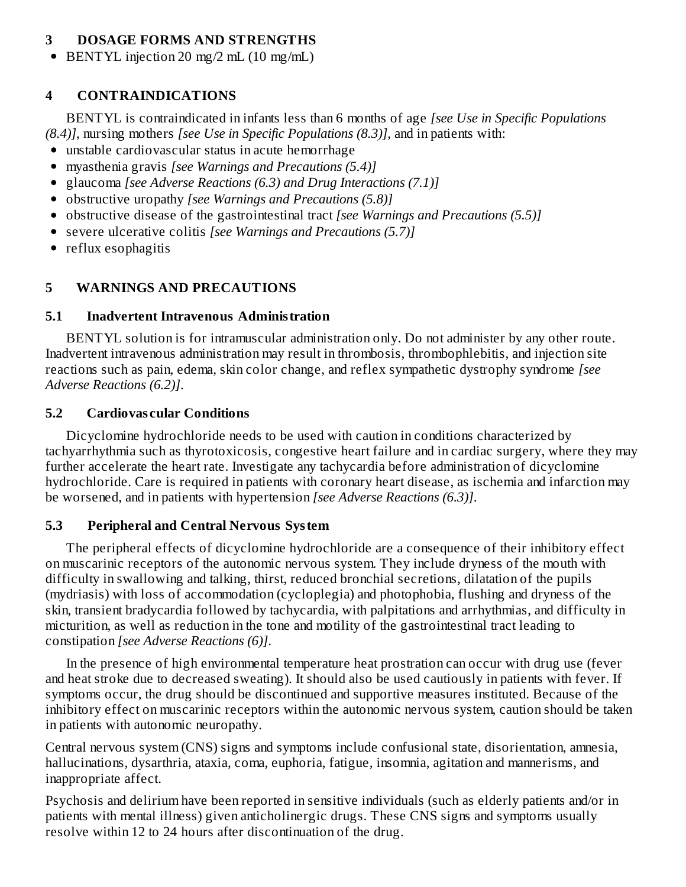## **3 DOSAGE FORMS AND STRENGTHS**

BENTYL injection 20 mg/2 mL (10 mg/mL)

## **4 CONTRAINDICATIONS**

BENTYL is contraindicated in infants less than 6 months of age *[see Use in Specific Populations (8.4)]*, nursing mothers *[see Use in Specific Populations (8.3)]*, and in patients with:

- unstable cardiovascular status in acute hemorrhage
- myasthenia gravis *[see Warnings and Precautions (5.4)]*
- glaucoma *[see Adverse Reactions (6.3) and Drug Interactions (7.1)]*
- obstructive uropathy *[see Warnings and Precautions (5.8)]*
- obstructive disease of the gastrointestinal tract *[see Warnings and Precautions (5.5)]*
- severe ulcerative colitis *[see Warnings and Precautions (5.7)]*
- reflux esophagitis

## **5 WARNINGS AND PRECAUTIONS**

#### **5.1 Inadvertent Intravenous Administration**

BENTYL solution is for intramuscular administration only. Do not administer by any other route. Inadvertent intravenous administration may result in thrombosis, thrombophlebitis, and injection site reactions such as pain, edema, skin color change, and reflex sympathetic dystrophy syndrome *[see Adverse Reactions (6.2)]*.

#### **5.2 Cardiovas cular Conditions**

Dicyclomine hydrochloride needs to be used with caution in conditions characterized by tachyarrhythmia such as thyrotoxicosis, congestive heart failure and in cardiac surgery, where they may further accelerate the heart rate. Investigate any tachycardia before administration of dicyclomine hydrochloride. Care is required in patients with coronary heart disease, as ischemia and infarction may be worsened, and in patients with hypertension *[see Adverse Reactions (6.3)]*.

#### **5.3 Peripheral and Central Nervous System**

The peripheral effects of dicyclomine hydrochloride are a consequence of their inhibitory effect on muscarinic receptors of the autonomic nervous system. They include dryness of the mouth with difficulty in swallowing and talking, thirst, reduced bronchial secretions, dilatation of the pupils (mydriasis) with loss of accommodation (cycloplegia) and photophobia, flushing and dryness of the skin, transient bradycardia followed by tachycardia, with palpitations and arrhythmias, and difficulty in micturition, as well as reduction in the tone and motility of the gastrointestinal tract leading to constipation *[see Adverse Reactions (6)]*.

In the presence of high environmental temperature heat prostration can occur with drug use (fever and heat stroke due to decreased sweating). It should also be used cautiously in patients with fever. If symptoms occur, the drug should be discontinued and supportive measures instituted. Because of the inhibitory effect on muscarinic receptors within the autonomic nervous system, caution should be taken in patients with autonomic neuropathy.

Central nervous system (CNS) signs and symptoms include confusional state, disorientation, amnesia, hallucinations, dysarthria, ataxia, coma, euphoria, fatigue, insomnia, agitation and mannerisms, and inappropriate affect.

Psychosis and delirium have been reported in sensitive individuals (such as elderly patients and/or in patients with mental illness) given anticholinergic drugs. These CNS signs and symptoms usually resolve within 12 to 24 hours after discontinuation of the drug.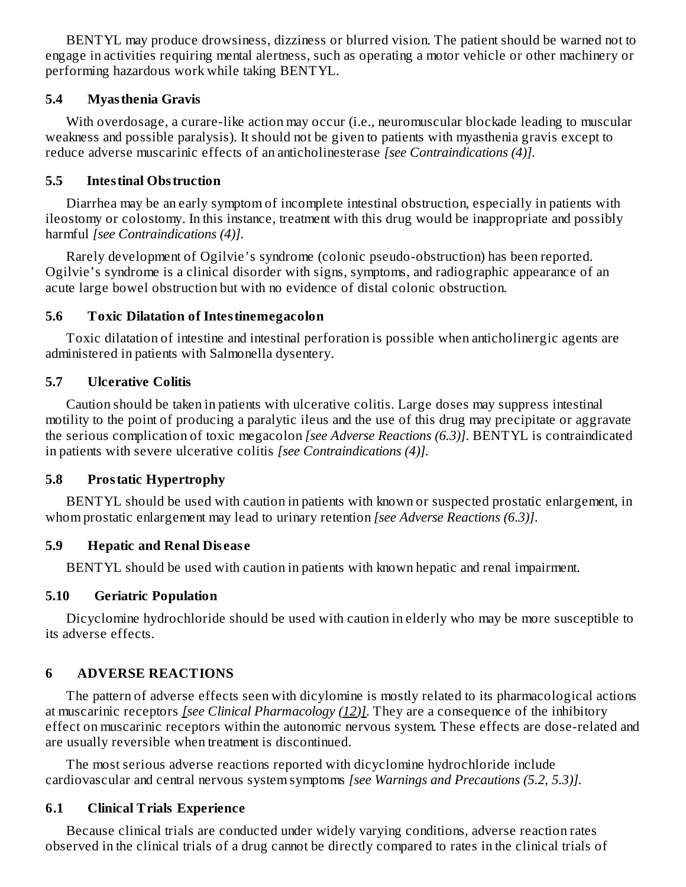BENTYL may produce drowsiness, dizziness or blurred vision. The patient should be warned not to engage in activities requiring mental alertness, such as operating a motor vehicle or other machinery or performing hazardous work while taking BENTYL.

#### **5.4 Myasthenia Gravis**

With overdosage, a curare-like action may occur (i.e., neuromuscular blockade leading to muscular weakness and possible paralysis). It should not be given to patients with myasthenia gravis except to reduce adverse muscarinic effects of an anticholinesterase *[see Contraindications (4)].*

#### **5.5 Intestinal Obstruction**

Diarrhea may be an early symptom of incomplete intestinal obstruction, especially in patients with ileostomy or colostomy. In this instance, treatment with this drug would be inappropriate and possibly harmful *[see Contraindications (4)].*

Rarely development of Ogilvie's syndrome (colonic pseudo-obstruction) has been reported. Ogilvie's syndrome is a clinical disorder with signs, symptoms, and radiographic appearance of an acute large bowel obstruction but with no evidence of distal colonic obstruction.

#### **5.6 Toxic Dilatation of Intestinemegacolon**

Toxic dilatation of intestine and intestinal perforation is possible when anticholinergic agents are administered in patients with Salmonella dysentery.

#### **5.7 Ulcerative Colitis**

Caution should be taken in patients with ulcerative colitis. Large doses may suppress intestinal motility to the point of producing a paralytic ileus and the use of this drug may precipitate or aggravate the serious complication of toxic megacolon *[see Adverse Reactions (6.3)]*. BENTYL is contraindicated in patients with severe ulcerative colitis *[see Contraindications (4)].*

#### **5.8 Prostatic Hypertrophy**

BENTYL should be used with caution in patients with known or suspected prostatic enlargement, in whom prostatic enlargement may lead to urinary retention *[see Adverse Reactions (6.3)]*.

#### **5.9 Hepatic and Renal Dis eas e**

BENTYL should be used with caution in patients with known hepatic and renal impairment.

#### **5.10 Geriatric Population**

Dicyclomine hydrochloride should be used with caution in elderly who may be more susceptible to its adverse effects.

## **6 ADVERSE REACTIONS**

The pattern of adverse effects seen with dicylomine is mostly related to its pharmacological actions at muscarinic receptors *[see Clinical Pharmacology (12)]*. They are a consequence of the inhibitory effect on muscarinic receptors within the autonomic nervous system. These effects are dose-related and are usually reversible when treatment is discontinued.

The most serious adverse reactions reported with dicyclomine hydrochloride include cardiovascular and central nervous system symptoms *[see Warnings and Precautions (5.2, 5.3)].*

#### **6.1 Clinical Trials Experience**

Because clinical trials are conducted under widely varying conditions, adverse reaction rates observed in the clinical trials of a drug cannot be directly compared to rates in the clinical trials of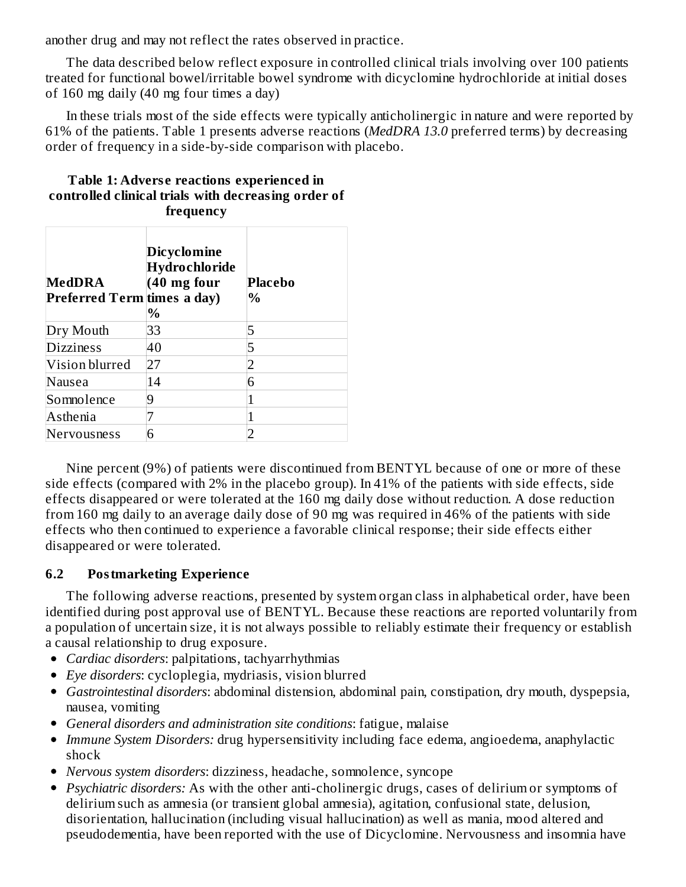another drug and may not reflect the rates observed in practice.

The data described below reflect exposure in controlled clinical trials involving over 100 patients treated for functional bowel/irritable bowel syndrome with dicyclomine hydrochloride at initial doses of 160 mg daily (40 mg four times a day)

In these trials most of the side effects were typically anticholinergic in nature and were reported by 61% of the patients. Table 1 presents adverse reactions (*MedDRA 13.0* preferred terms) by decreasing order of frequency in a side-by-side comparison with placebo.

| <b>MedDRA</b><br>Preferred Term times a day) | Dicyclomine<br>Hydrochloride<br>$(40 \text{ mg}$ four<br>$\%$ | Placebo<br>%   |
|----------------------------------------------|---------------------------------------------------------------|----------------|
| Dry Mouth                                    | 33                                                            | 5              |
| <b>Dizziness</b>                             | 40                                                            | 5              |
| Vision blurred                               | 27                                                            | $\overline{2}$ |
| Nausea                                       | 14                                                            | 6              |
| Somnolence                                   | 9                                                             |                |
| Asthenia                                     |                                                               |                |
| Nervousness                                  | 6                                                             |                |

#### **Table 1: Advers e reactions experienced in controlled clinical trials with decreasing order of frequency**

Nine percent (9%) of patients were discontinued from BENTYL because of one or more of these side effects (compared with 2% in the placebo group). In 41% of the patients with side effects, side effects disappeared or were tolerated at the 160 mg daily dose without reduction. A dose reduction from 160 mg daily to an average daily dose of 90 mg was required in 46% of the patients with side effects who then continued to experience a favorable clinical response; their side effects either disappeared or were tolerated.

## **6.2 Postmarketing Experience**

The following adverse reactions, presented by system organ class in alphabetical order, have been identified during post approval use of BENTYL. Because these reactions are reported voluntarily from a population of uncertain size, it is not always possible to reliably estimate their frequency or establish a causal relationship to drug exposure.

- *Cardiac disorders*: palpitations, tachyarrhythmias
- *Eye disorders*: cycloplegia, mydriasis, vision blurred
- *Gastrointestinal disorders*: abdominal distension, abdominal pain, constipation, dry mouth, dyspepsia, nausea, vomiting
- *General disorders and administration site conditions*: fatigue, malaise
- *Immune System Disorders:* drug hypersensitivity including face edema, angioedema, anaphylactic shock
- *Nervous system disorders*: dizziness, headache, somnolence, syncope
- *Psychiatric disorders:* As with the other anti-cholinergic drugs, cases of delirium or symptoms of delirium such as amnesia (or transient global amnesia), agitation, confusional state, delusion, disorientation, hallucination (including visual hallucination) as well as mania, mood altered and pseudodementia, have been reported with the use of Dicyclomine. Nervousness and insomnia have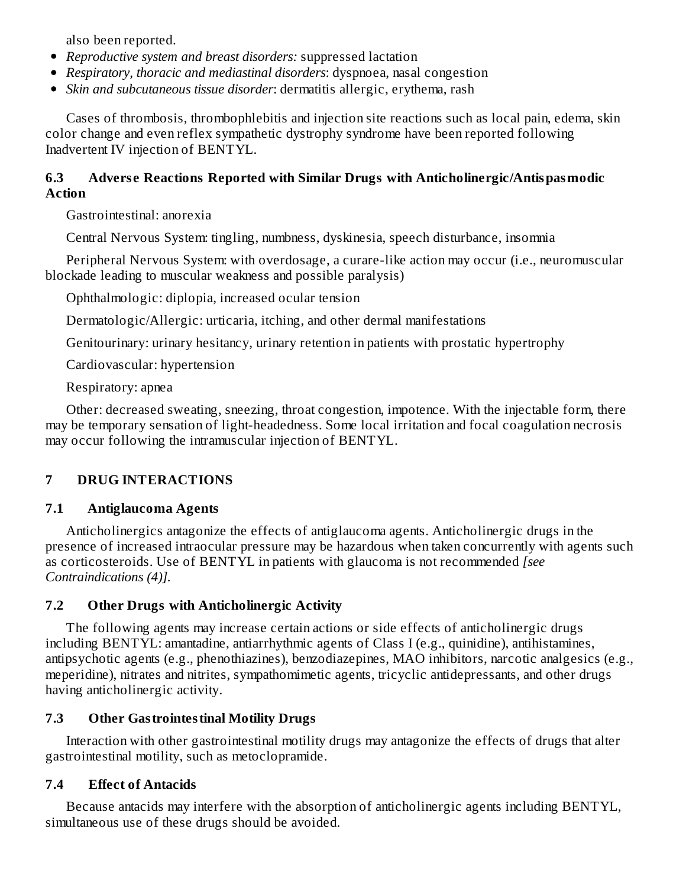also been reported.

- *Reproductive system and breast disorders:* suppressed lactation
- *Respiratory, thoracic and mediastinal disorders*: dyspnoea, nasal congestion
- *Skin and subcutaneous tissue disorder*: dermatitis allergic, erythema, rash

Cases of thrombosis, thrombophlebitis and injection site reactions such as local pain, edema, skin color change and even reflex sympathetic dystrophy syndrome have been reported following Inadvertent IV injection of BENTYL.

#### **6.3 Advers e Reactions Reported with Similar Drugs with Anticholinergic/Antispasmodic Action**

Gastrointestinal: anorexia

Central Nervous System: tingling, numbness, dyskinesia, speech disturbance, insomnia

Peripheral Nervous System: with overdosage, a curare-like action may occur (i.e., neuromuscular blockade leading to muscular weakness and possible paralysis)

Ophthalmologic: diplopia, increased ocular tension

Dermatologic/Allergic: urticaria, itching, and other dermal manifestations

Genitourinary: urinary hesitancy, urinary retention in patients with prostatic hypertrophy

Cardiovascular: hypertension

Respiratory: apnea

Other: decreased sweating, sneezing, throat congestion, impotence. With the injectable form, there may be temporary sensation of light-headedness. Some local irritation and focal coagulation necrosis may occur following the intramuscular injection of BENTYL.

# **7 DRUG INTERACTIONS**

## **7.1 Antiglaucoma Agents**

Anticholinergics antagonize the effects of antiglaucoma agents. Anticholinergic drugs in the presence of increased intraocular pressure may be hazardous when taken concurrently with agents such as corticosteroids. Use of BENTYL in patients with glaucoma is not recommended *[see Contraindications (4)].*

# **7.2 Other Drugs with Anticholinergic Activity**

The following agents may increase certain actions or side effects of anticholinergic drugs including BENTYL: amantadine, antiarrhythmic agents of Class I (e.g., quinidine), antihistamines, antipsychotic agents (e.g., phenothiazines), benzodiazepines, MAO inhibitors, narcotic analgesics (e.g., meperidine), nitrates and nitrites, sympathomimetic agents, tricyclic antidepressants, and other drugs having anticholinergic activity.

## **7.3 Other Gastrointestinal Motility Drugs**

Interaction with other gastrointestinal motility drugs may antagonize the effects of drugs that alter gastrointestinal motility, such as metoclopramide.

## **7.4 Effect of Antacids**

Because antacids may interfere with the absorption of anticholinergic agents including BENTYL, simultaneous use of these drugs should be avoided.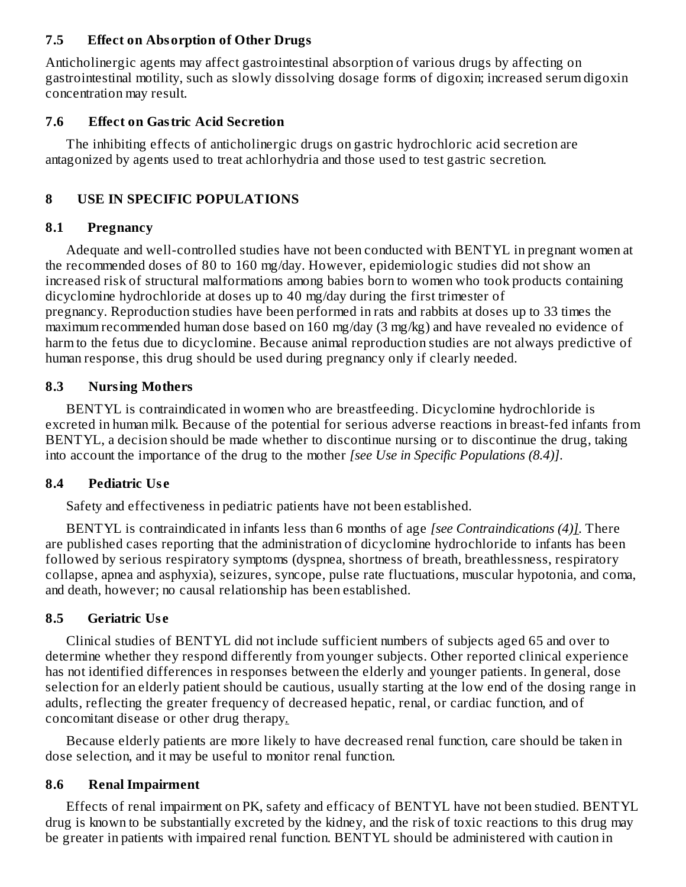#### **7.5 Effect on Absorption of Other Drugs**

Anticholinergic agents may affect gastrointestinal absorption of various drugs by affecting on gastrointestinal motility, such as slowly dissolving dosage forms of digoxin; increased serum digoxin concentration may result.

#### **7.6 Effect on Gastric Acid Secretion**

The inhibiting effects of anticholinergic drugs on gastric hydrochloric acid secretion are antagonized by agents used to treat achlorhydria and those used to test gastric secretion.

### **8 USE IN SPECIFIC POPULATIONS**

#### **8.1 Pregnancy**

Adequate and well-controlled studies have not been conducted with BENTYL in pregnant women at the recommended doses of 80 to 160 mg/day. However, epidemiologic studies did not show an increased risk of structural malformations among babies born to women who took products containing dicyclomine hydrochloride at doses up to 40 mg/day during the first trimester of pregnancy. Reproduction studies have been performed in rats and rabbits at doses up to 33 times the maximum recommended human dose based on 160 mg/day (3 mg/kg) and have revealed no evidence of harm to the fetus due to dicyclomine. Because animal reproduction studies are not always predictive of human response, this drug should be used during pregnancy only if clearly needed.

#### **8.3 Nursing Mothers**

BENTYL is contraindicated in women who are breastfeeding. Dicyclomine hydrochloride is excreted in human milk. Because of the potential for serious adverse reactions in breast-fed infants from BENTYL, a decision should be made whether to discontinue nursing or to discontinue the drug, taking into account the importance of the drug to the mother *[see Use in Specific Populations (8.4)]*.

#### **8.4 Pediatric Us e**

Safety and effectiveness in pediatric patients have not been established.

BENTYL is contraindicated in infants less than 6 months of age *[see Contraindications (4)]*. There are published cases reporting that the administration of dicyclomine hydrochloride to infants has been followed by serious respiratory symptoms (dyspnea, shortness of breath, breathlessness, respiratory collapse, apnea and asphyxia), seizures, syncope, pulse rate fluctuations, muscular hypotonia, and coma, and death, however; no causal relationship has been established.

## **8.5 Geriatric Us e**

Clinical studies of BENTYL did not include sufficient numbers of subjects aged 65 and over to determine whether they respond differently from younger subjects. Other reported clinical experience has not identified differences in responses between the elderly and younger patients. In general, dose selection for an elderly patient should be cautious, usually starting at the low end of the dosing range in adults, reflecting the greater frequency of decreased hepatic, renal, or cardiac function, and of concomitant disease or other drug therapy*.*

Because elderly patients are more likely to have decreased renal function, care should be taken in dose selection, and it may be useful to monitor renal function.

#### **8.6 Renal Impairment**

Effects of renal impairment on PK, safety and efficacy of BENTYL have not been studied. BENTYL drug is known to be substantially excreted by the kidney, and the risk of toxic reactions to this drug may be greater in patients with impaired renal function. BENTYL should be administered with caution in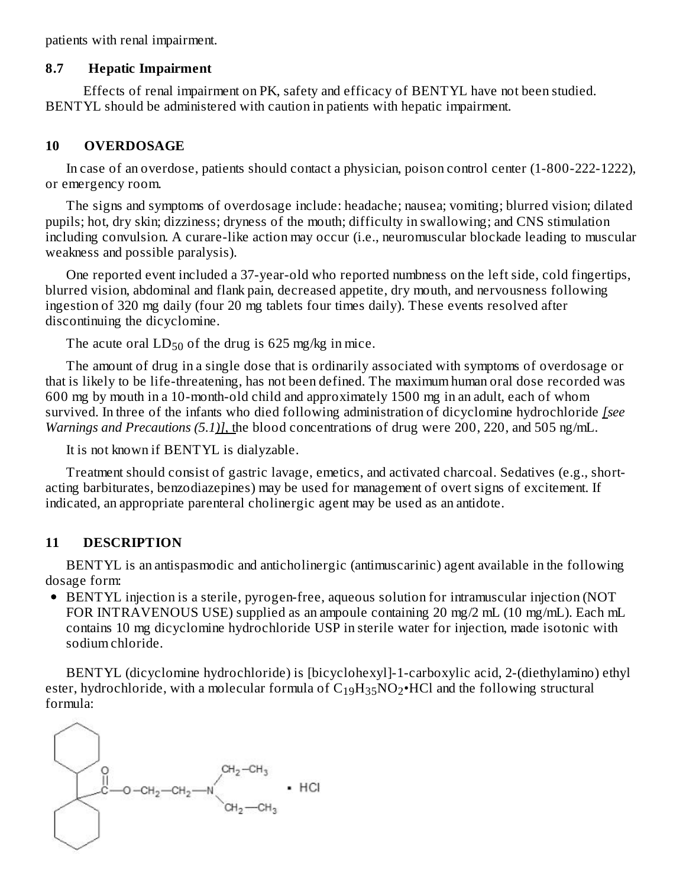patients with renal impairment.

#### **8.7 Hepatic Impairment**

Effects of renal impairment on PK, safety and efficacy of BENTYL have not been studied. BENTYL should be administered with caution in patients with hepatic impairment.

#### **10 OVERDOSAGE**

In case of an overdose, patients should contact a physician, poison control center (1-800-222-1222), or emergency room.

The signs and symptoms of overdosage include: headache; nausea; vomiting; blurred vision; dilated pupils; hot, dry skin; dizziness; dryness of the mouth; difficulty in swallowing; and CNS stimulation including convulsion. A curare-like action may occur (i.e., neuromuscular blockade leading to muscular weakness and possible paralysis).

One reported event included a 37-year-old who reported numbness on the left side, cold fingertips, blurred vision, abdominal and flank pain, decreased appetite, dry mouth, and nervousness following ingestion of 320 mg daily (four 20 mg tablets four times daily). These events resolved after discontinuing the dicyclomine.

The acute oral  $LD_{50}$  of the drug is 625 mg/kg in mice.

The amount of drug in a single dose that is ordinarily associated with symptoms of overdosage or that is likely to be life-threatening, has not been defined. The maximum human oral dose recorded was 600 mg by mouth in a 10-month-old child and approximately 1500 mg in an adult, each of whom survived. In three of the infants who died following administration of dicyclomine hydrochloride *[see Warnings and Precautions (5.1)]*, the blood concentrations of drug were 200, 220, and 505 ng/mL.

It is not known if BENTYL is dialyzable.

Treatment should consist of gastric lavage, emetics, and activated charcoal. Sedatives (e.g., shortacting barbiturates, benzodiazepines) may be used for management of overt signs of excitement. If indicated, an appropriate parenteral cholinergic agent may be used as an antidote.

#### **11 DESCRIPTION**

BENTYL is an antispasmodic and anticholinergic (antimuscarinic) agent available in the following dosage form:

BENTYL injection is a sterile, pyrogen-free, aqueous solution for intramuscular injection (NOT FOR INTRAVENOUS USE) supplied as an ampoule containing 20 mg/2 mL (10 mg/mL). Each mL contains 10 mg dicyclomine hydrochloride USP in sterile water for injection, made isotonic with sodium chloride.

BENTYL (dicyclomine hydrochloride) is [bicyclohexyl]-1-carboxylic acid, 2-(diethylamino) ethyl ester, hydrochloride, with a molecular formula of  $\rm{C_{19}H_{35}NO_2•HCl}$  and the following structural formula:

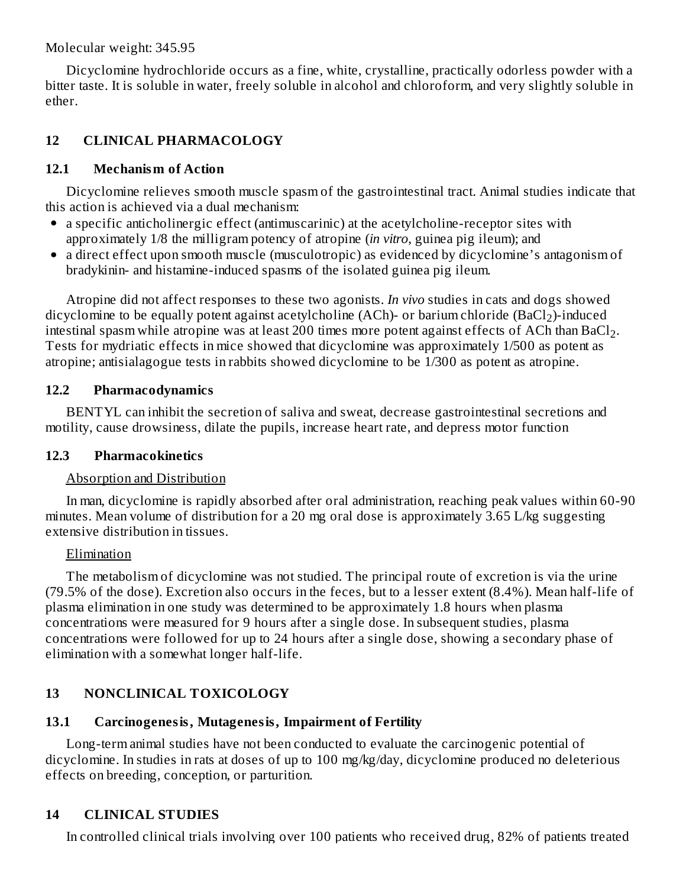Molecular weight: 345.95

Dicyclomine hydrochloride occurs as a fine, white, crystalline, practically odorless powder with a bitter taste. It is soluble in water, freely soluble in alcohol and chloroform, and very slightly soluble in ether.

## **12 CLINICAL PHARMACOLOGY**

## **12.1 Mechanism of Action**

Dicyclomine relieves smooth muscle spasm of the gastrointestinal tract. Animal studies indicate that this action is achieved via a dual mechanism:

- a specific anticholinergic effect (antimuscarinic) at the acetylcholine-receptor sites with approximately 1/8 the milligram potency of atropine (*in vitro*, guinea pig ileum); and
- a direct effect upon smooth muscle (musculotropic) as evidenced by dicyclomine's antagonism of bradykinin- and histamine-induced spasms of the isolated guinea pig ileum.

Atropine did not affect responses to these two agonists. *In vivo* studies in cats and dogs showed dicyclomine to be equally potent against acetylcholine (ACh)- or barium chloride (BaCl<sub>2</sub>)-induced intestinal spasm while atropine was at least 200 times more potent against effects of ACh than BaCl $_2$ . Tests for mydriatic effects in mice showed that dicyclomine was approximately 1/500 as potent as atropine; antisialagogue tests in rabbits showed dicyclomine to be 1/300 as potent as atropine.

## **12.2 Pharmacodynamics**

BENTYL can inhibit the secretion of saliva and sweat, decrease gastrointestinal secretions and motility, cause drowsiness, dilate the pupils, increase heart rate, and depress motor function

#### **12.3 Pharmacokinetics**

## Absorption and Distribution

In man, dicyclomine is rapidly absorbed after oral administration, reaching peak values within 60-90 minutes. Mean volume of distribution for a 20 mg oral dose is approximately 3.65 L/kg suggesting extensive distribution in tissues.

## Elimination

The metabolism of dicyclomine was not studied. The principal route of excretion is via the urine (79.5% of the dose). Excretion also occurs in the feces, but to a lesser extent (8.4%). Mean half-life of plasma elimination in one study was determined to be approximately 1.8 hours when plasma concentrations were measured for 9 hours after a single dose. In subsequent studies, plasma concentrations were followed for up to 24 hours after a single dose, showing a secondary phase of elimination with a somewhat longer half-life.

# **13 NONCLINICAL TOXICOLOGY**

## **13.1 Carcinogenesis, Mutagenesis, Impairment of Fertility**

Long-term animal studies have not been conducted to evaluate the carcinogenic potential of dicyclomine. In studies in rats at doses of up to 100 mg/kg/day, dicyclomine produced no deleterious effects on breeding, conception, or parturition.

## **14 CLINICAL STUDIES**

In controlled clinical trials involving over 100 patients who received drug, 82% of patients treated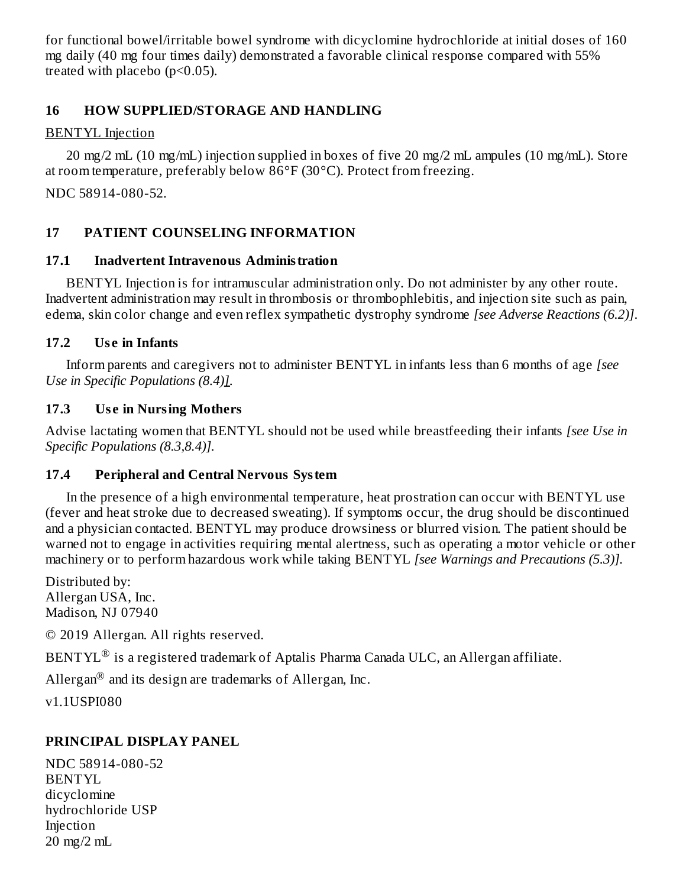for functional bowel/irritable bowel syndrome with dicyclomine hydrochloride at initial doses of 160 mg daily (40 mg four times daily) demonstrated a favorable clinical response compared with 55% treated with placebo (p<0.05).

### **16 HOW SUPPLIED/STORAGE AND HANDLING**

### BENTYL Injection

20 mg/2 mL (10 mg/mL) injection supplied in boxes of five 20 mg/2 mL ampules (10 mg/mL). Store at room temperature, preferably below 86°F (30°C). Protect from freezing.

NDC 58914-080-52.

## **17 PATIENT COUNSELING INFORMATION**

## **17.1 Inadvertent Intravenous Administration**

BENTYL Injection is for intramuscular administration only. Do not administer by any other route. Inadvertent administration may result in thrombosis or thrombophlebitis, and injection site such as pain, edema, skin color change and even reflex sympathetic dystrophy syndrome *[see Adverse Reactions (6.2)]*.

## **17.2 Us e in Infants**

Inform parents and caregivers not to administer BENTYL in infants less than 6 months of age *[see Use in Specific Populations (8.4)]*.

## **17.3 Us e in Nursing Mothers**

Advise lactating women that BENTYL should not be used while breastfeeding their infants *[see Use in Specific Populations (8.3,8.4)].*

## **17.4 Peripheral and Central Nervous System**

In the presence of a high environmental temperature, heat prostration can occur with BENTYL use (fever and heat stroke due to decreased sweating). If symptoms occur, the drug should be discontinued and a physician contacted. BENTYL may produce drowsiness or blurred vision. The patient should be warned not to engage in activities requiring mental alertness, such as operating a motor vehicle or other machinery or to perform hazardous work while taking BENTYL *[see Warnings and Precautions (5.3)].*

Distributed by: Allergan USA, Inc. Madison, NJ 07940

© 2019 Allergan. All rights reserved.

 $\rm BENTYL^{\circledR}$  is a registered trademark of Aptalis Pharma Canada ULC, an Allergan affiliate.

Allergan $^{\circledR}$  and its design are trademarks of Allergan, Inc.

v1.1USPI080

## **PRINCIPAL DISPLAY PANEL**

NDC 58914-080-52 BENTYL dicyclomine hydrochloride USP Injection 20 mg/2 mL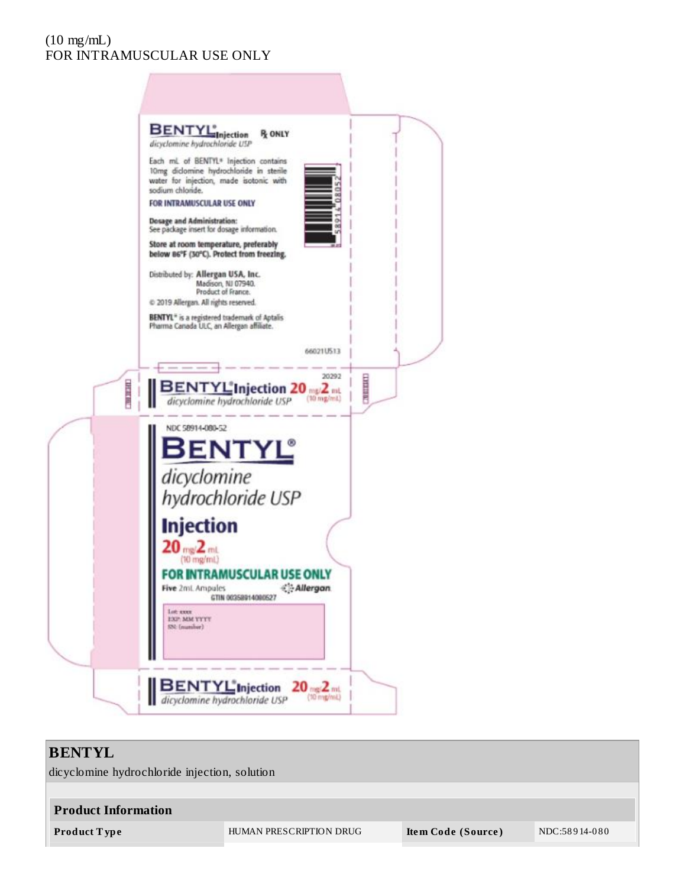### (10 mg/mL) FOR INTRAMUSCULAR USE ONLY



## **BENTYL**

dicyclomine hydrochloride injection, solution

| <b>Product Information</b> |                         |                    |               |  |  |  |  |  |
|----------------------------|-------------------------|--------------------|---------------|--|--|--|--|--|
| Product Type               | HUMAN PRESCRIPTION DRUG | Item Code (Source) | NDC:58914-080 |  |  |  |  |  |